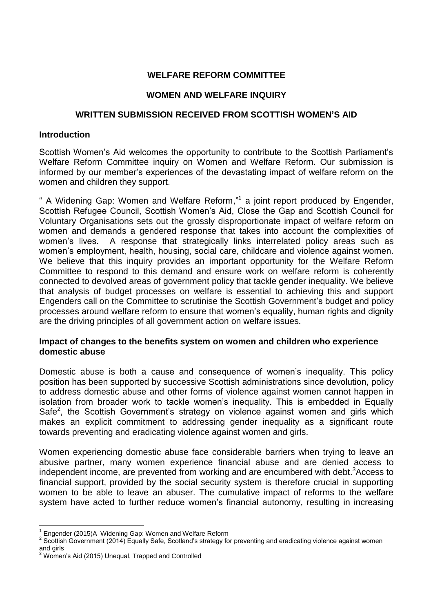# **WELFARE REFORM COMMITTEE**

# **WOMEN AND WELFARE INQUIRY**

# **WRITTEN SUBMISSION RECEIVED FROM SCOTTISH WOMEN'S AID**

## **Introduction**

Scottish Women's Aid welcomes the opportunity to contribute to the Scottish Parliament's Welfare Reform Committee inquiry on Women and Welfare Reform. Our submission is informed by our member's experiences of the devastating impact of welfare reform on the women and children they support.

" A Widening Gap: Women and Welfare Reform,"<sup>1</sup> a joint report produced by Engender, Scottish Refugee Council, Scottish Women's Aid, Close the Gap and Scottish Council for Voluntary Organisations sets out the grossly disproportionate impact of welfare reform on women and demands a gendered response that takes into account the complexities of women's lives. A response that strategically links interrelated policy areas such as women's employment, health, housing, social care, childcare and violence against women. We believe that this inquiry provides an important opportunity for the Welfare Reform Committee to respond to this demand and ensure work on welfare reform is coherently connected to devolved areas of government policy that tackle gender inequality. We believe that analysis of budget processes on welfare is essential to achieving this and support Engenders call on the Committee to scrutinise the Scottish Government's budget and policy processes around welfare reform to ensure that women's equality, human rights and dignity are the driving principles of all government action on welfare issues.

# **Impact of changes to the benefits system on women and children who experience domestic abuse**

Domestic abuse is both a cause and consequence of women's inequality. This policy position has been supported by successive Scottish administrations since devolution, policy to address domestic abuse and other forms of violence against women cannot happen in isolation from broader work to tackle women's inequality. This is embedded in Equally Safe<sup>2</sup>, the Scottish Government's strategy on violence against women and girls which makes an explicit commitment to addressing gender inequality as a significant route towards preventing and eradicating violence against women and girls.

Women experiencing domestic abuse face considerable barriers when trying to leave an abusive partner, many women experience financial abuse and are denied access to independent income, are prevented from working and are encumbered with debt.<sup>3</sup>Access to financial support, provided by the social security system is therefore crucial in supporting women to be able to leave an abuser. The cumulative impact of reforms to the welfare system have acted to further reduce women's financial autonomy, resulting in increasing

**<sup>.</sup>** <sup>1</sup> Engender (2015)A Widening Gap: Women and Welfare Reform

<sup>&</sup>lt;sup>2</sup> Scottish Government (2014) Equally Safe, Scotland's strategy for preventing and eradicating violence against women and girls

<sup>3</sup> Women's Aid (2015) Unequal, Trapped and Controlled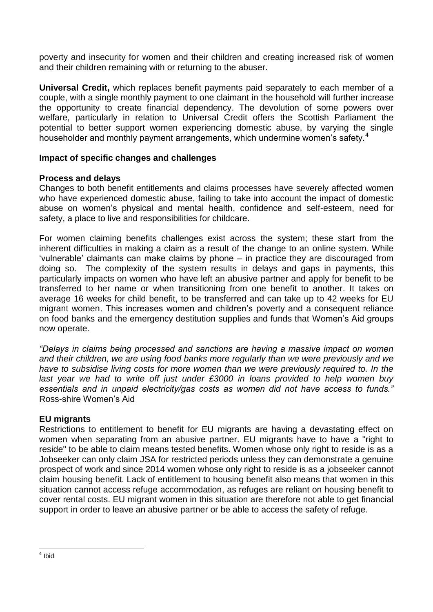poverty and insecurity for women and their children and creating increased risk of women and their children remaining with or returning to the abuser.

**Universal Credit,** which replaces benefit payments paid separately to each member of a couple, with a single monthly payment to one claimant in the household will further increase the opportunity to create financial dependency. The devolution of some powers over welfare, particularly in relation to Universal Credit offers the Scottish Parliament the potential to better support women experiencing domestic abuse, by varying the single householder and monthly payment arrangements, which undermine women's safety.<sup>4</sup>

# **Impact of specific changes and challenges**

# **Process and delays**

Changes to both benefit entitlements and claims processes have severely affected women who have experienced domestic abuse, failing to take into account the impact of domestic abuse on women's physical and mental health, confidence and self-esteem, need for safety, a place to live and responsibilities for childcare.

For women claiming benefits challenges exist across the system; these start from the inherent difficulties in making a claim as a result of the change to an online system. While 'vulnerable' claimants can make claims by phone – in practice they are discouraged from doing so. The complexity of the system results in delays and gaps in payments, this particularly impacts on women who have left an abusive partner and apply for benefit to be transferred to her name or when transitioning from one benefit to another. It takes on average 16 weeks for child benefit, to be transferred and can take up to 42 weeks for EU migrant women. This increases women and children's poverty and a consequent reliance on food banks and the emergency destitution supplies and funds that Women's Aid groups now operate.

*"Delays in claims being processed and sanctions are having a massive impact on women and their children, we are using food banks more regularly than we were previously and we have to subsidise living costs for more women than we were previously required to. In the last year we had to write off just under £3000 in loans provided to help women buy essentials and in unpaid electricity/gas costs as women did not have access to funds."*  Ross-shire Women's Aid

# **EU migrants**

Restrictions to entitlement to benefit for EU migrants are having a devastating effect on women when separating from an abusive partner. EU migrants have to have a "right to reside" to be able to claim means tested benefits. Women whose only right to reside is as a Jobseeker can only claim JSA for restricted periods unless they can demonstrate a genuine prospect of work and since 2014 women whose only right to reside is as a jobseeker cannot claim housing benefit. Lack of entitlement to housing benefit also means that women in this situation cannot access refuge accommodation, as refuges are reliant on housing benefit to cover rental costs. EU migrant women in this situation are therefore not able to get financial support in order to leave an abusive partner or be able to access the safety of refuge.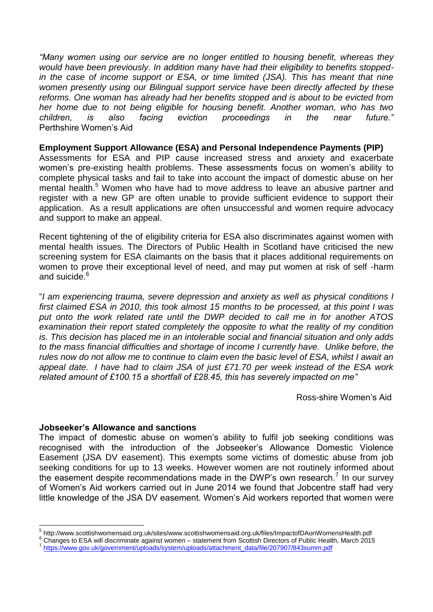*"Many women using our service are no longer entitled to housing benefit, whereas they would have been previously. In addition many have had their eligibility to benefits stoppedin the case of income support or ESA, or time limited (JSA). This has meant that nine women presently using our Bilingual support service have been directly affected by these reforms. One woman has already had her benefits stopped and is about to be evicted from her home due to not being eligible for housing benefit. Another woman, who has two children, is also facing eviction proceedings in the near future."* Perthshire Women's Aid

#### **Employment Support Allowance (ESA) and Personal Independence Payments (PIP)**

Assessments for ESA and PIP cause increased stress and anxiety and exacerbate women's pre-existing health problems. These assessments focus on women's ability to complete physical tasks and fail to take into account the impact of domestic abuse on her mental health. <sup>5</sup> Women who have had to move address to leave an abusive partner and register with a new GP are often unable to provide sufficient evidence to support their application. As a result applications are often unsuccessful and women require advocacy and support to make an appeal.

Recent tightening of the of eligibility criteria for ESA also discriminates against women with mental health issues. The Directors of Public Health in Scotland have criticised the new screening system for ESA claimants on the basis that it places additional requirements on women to prove their exceptional level of need, and may put women at risk of self -harm and suicide.<sup>6</sup>

"*I am experiencing trauma, severe depression and anxiety as well as physical conditions I first claimed ESA in 2010, this took almost 15 months to be processed, at this point I was put onto the work related rate until the DWP decided to call me in for another ATOS examination their report stated completely the opposite to what the reality of my condition is. This decision has placed me in an intolerable social and financial situation and only adds to the mass financial difficulties and shortage of income I currently have. Unlike before, the rules now do not allow me to continue to claim even the basic level of ESA, whilst I await an appeal date. I have had to claim JSA of just £71.70 per week instead of the ESA work related amount of £100.15 a shortfall of £28.45, this has severely impacted on me"* 

Ross-shire Women's Aid

#### **Jobseeker's Allowance and sanctions**

The impact of domestic abuse on women's ability to fulfil job seeking conditions was recognised with the introduction of the Jobseeker's Allowance Domestic Violence Easement (JSA DV easement). This exempts some victims of domestic abuse from job seeking conditions for up to 13 weeks. However women are not routinely informed about the easement despite recommendations made in the DWP's own research.<sup>7</sup> In our survey of Women's Aid workers carried out in June 2014 we found that Jobcentre staff had very little knowledge of the JSA DV easement. Women's Aid workers reported that women were

 5 http://www.scottishwomensaid.org.uk/sites/www.scottishwomensaid.org.uk/files/ImpactofDAonWomensHealth.pdf

<sup>&</sup>lt;sup>6</sup> Changes to ESA will discriminate against women – statement from Scottish Directors of Public Health, March 2015 <sup>7</sup> [https://www.gov.uk/government/uploads/system/uploads/attachment\\_data/file/207907/843summ.pdf](https://www.gov.uk/government/uploads/system/uploads/attachment_data/file/207907/843summ.pdf)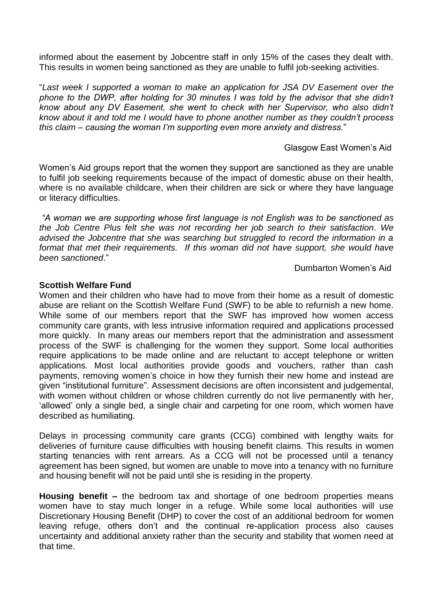informed about the easement by Jobcentre staff in only 15% of the cases they dealt with. This results in women being sanctioned as they are unable to fulfil job-seeking activities.

"*Last week I supported a woman to make an application for JSA DV Easement over the phone to the DWP, after holding for 30 minutes I was told by the advisor that she didn't know about any DV Easement, she went to check with her Supervisor, who also didn't know about it and told me I would have to phone another number as they couldn't process this claim – causing the woman I'm supporting even more anxiety and distress.*"

## Glasgow East Women's Aid

Women's Aid groups report that the women they support are sanctioned as they are unable to fulfil job seeking requirements because of the impact of domestic abuse on their health, where is no available childcare, when their children are sick or where they have language or literacy difficulties.

*"A woman we are supporting whose first language is not English was to be sanctioned as the Job Centre Plus felt she was not recording her job search to their satisfaction. We advised the Jobcentre that she was searching but struggled to record the information in a format that met their requirements. If this woman did not have support, she would have been sanctioned*."

Dumbarton Women's Aid

# **Scottish Welfare Fund**

Women and their children who have had to move from their home as a result of domestic abuse are reliant on the Scottish Welfare Fund (SWF) to be able to refurnish a new home. While some of our members report that the SWF has improved how women access community care grants, with less intrusive information required and applications processed more quickly. In many areas our members report that the administration and assessment process of the SWF is challenging for the women they support. Some local authorities require applications to be made online and are reluctant to accept telephone or written applications. Most local authorities provide goods and vouchers, rather than cash payments, removing women's choice in how they furnish their new home and instead are given "institutional furniture". Assessment decisions are often inconsistent and judgemental, with women without children or whose children currently do not live permanently with her, 'allowed' only a single bed, a single chair and carpeting for one room, which women have described as humiliating.

Delays in processing community care grants (CCG) combined with lengthy waits for deliveries of furniture cause difficulties with housing benefit claims. This results in women starting tenancies with rent arrears. As a CCG will not be processed until a tenancy agreement has been signed, but women are unable to move into a tenancy with no furniture and housing benefit will not be paid until she is residing in the property.

**Housing benefit –** the bedroom tax and shortage of one bedroom properties means women have to stay much longer in a refuge. While some local authorities will use Discretionary Housing Benefit (DHP) to cover the cost of an additional bedroom for women leaving refuge, others don't and the continual re-application process also causes uncertainty and additional anxiety rather than the security and stability that women need at that time.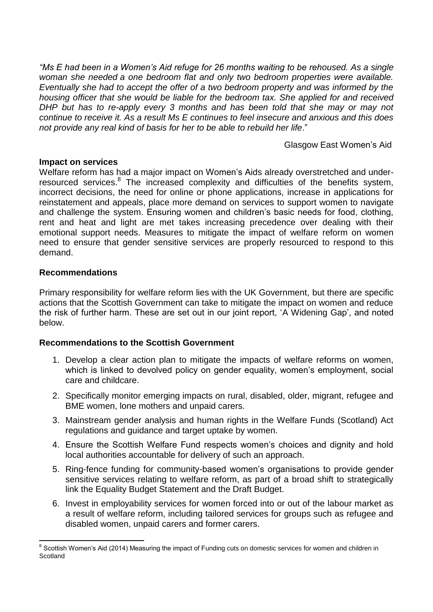*"Ms E had been in a Women's Aid refuge for 26 months waiting to be rehoused. As a single woman she needed a one bedroom flat and only two bedroom properties were available. Eventually she had to accept the offer of a two bedroom property and was informed by the housing officer that she would be liable for the bedroom tax. She applied for and received DHP but has to re-apply every 3 months and has been told that she may or may not continue to receive it. As a result Ms E continues to feel insecure and anxious and this does not provide any real kind of basis for her to be able to rebuild her life*."

Glasgow East Women's Aid

## **Impact on services**

Welfare reform has had a major impact on Women's Aids already overstretched and underresourced services.<sup>8</sup> The increased complexity and difficulties of the benefits system, incorrect decisions, the need for online or phone applications, increase in applications for reinstatement and appeals, place more demand on services to support women to navigate and challenge the system. Ensuring women and children's basic needs for food, clothing, rent and heat and light are met takes increasing precedence over dealing with their emotional support needs. Measures to mitigate the impact of welfare reform on women need to ensure that gender sensitive services are properly resourced to respond to this demand.

# **Recommendations**

**.** 

Primary responsibility for welfare reform lies with the UK Government, but there are specific actions that the Scottish Government can take to mitigate the impact on women and reduce the risk of further harm. These are set out in our joint report, 'A Widening Gap', and noted below.

# **Recommendations to the Scottish Government**

- 1. Develop a clear action plan to mitigate the impacts of welfare reforms on women, which is linked to devolved policy on gender equality, women's employment, social care and childcare.
- 2. Specifically monitor emerging impacts on rural, disabled, older, migrant, refugee and BME women, lone mothers and unpaid carers.
- 3. Mainstream gender analysis and human rights in the Welfare Funds (Scotland) Act regulations and guidance and target uptake by women.
- 4. Ensure the Scottish Welfare Fund respects women's choices and dignity and hold local authorities accountable for delivery of such an approach.
- 5. Ring-fence funding for community-based women's organisations to provide gender sensitive services relating to welfare reform, as part of a broad shift to strategically link the Equality Budget Statement and the Draft Budget.
- 6. Invest in employability services for women forced into or out of the labour market as a result of welfare reform, including tailored services for groups such as refugee and disabled women, unpaid carers and former carers.

<sup>&</sup>lt;sup>8</sup> Scottish Women's Aid (2014) Measuring the impact of Funding cuts on domestic services for women and children in **Scotland**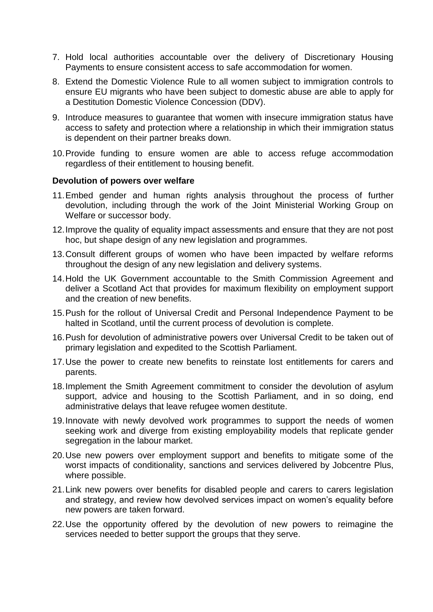- 7. Hold local authorities accountable over the delivery of Discretionary Housing Payments to ensure consistent access to safe accommodation for women.
- 8. Extend the Domestic Violence Rule to all women subject to immigration controls to ensure EU migrants who have been subject to domestic abuse are able to apply for a Destitution Domestic Violence Concession (DDV).
- 9. Introduce measures to guarantee that women with insecure immigration status have access to safety and protection where a relationship in which their immigration status is dependent on their partner breaks down.
- 10.Provide funding to ensure women are able to access refuge accommodation regardless of their entitlement to housing benefit.

#### **Devolution of powers over welfare**

- 11.Embed gender and human rights analysis throughout the process of further devolution, including through the work of the Joint Ministerial Working Group on Welfare or successor body.
- 12.Improve the quality of equality impact assessments and ensure that they are not post hoc, but shape design of any new legislation and programmes.
- 13.Consult different groups of women who have been impacted by welfare reforms throughout the design of any new legislation and delivery systems.
- 14.Hold the UK Government accountable to the Smith Commission Agreement and deliver a Scotland Act that provides for maximum flexibility on employment support and the creation of new benefits.
- 15.Push for the rollout of Universal Credit and Personal Independence Payment to be halted in Scotland, until the current process of devolution is complete.
- 16.Push for devolution of administrative powers over Universal Credit to be taken out of primary legislation and expedited to the Scottish Parliament.
- 17.Use the power to create new benefits to reinstate lost entitlements for carers and parents.
- 18.Implement the Smith Agreement commitment to consider the devolution of asylum support, advice and housing to the Scottish Parliament, and in so doing, end administrative delays that leave refugee women destitute.
- 19.Innovate with newly devolved work programmes to support the needs of women seeking work and diverge from existing employability models that replicate gender segregation in the labour market.
- 20.Use new powers over employment support and benefits to mitigate some of the worst impacts of conditionality, sanctions and services delivered by Jobcentre Plus, where possible.
- 21.Link new powers over benefits for disabled people and carers to carers legislation and strategy, and review how devolved services impact on women's equality before new powers are taken forward.
- 22.Use the opportunity offered by the devolution of new powers to reimagine the services needed to better support the groups that they serve.